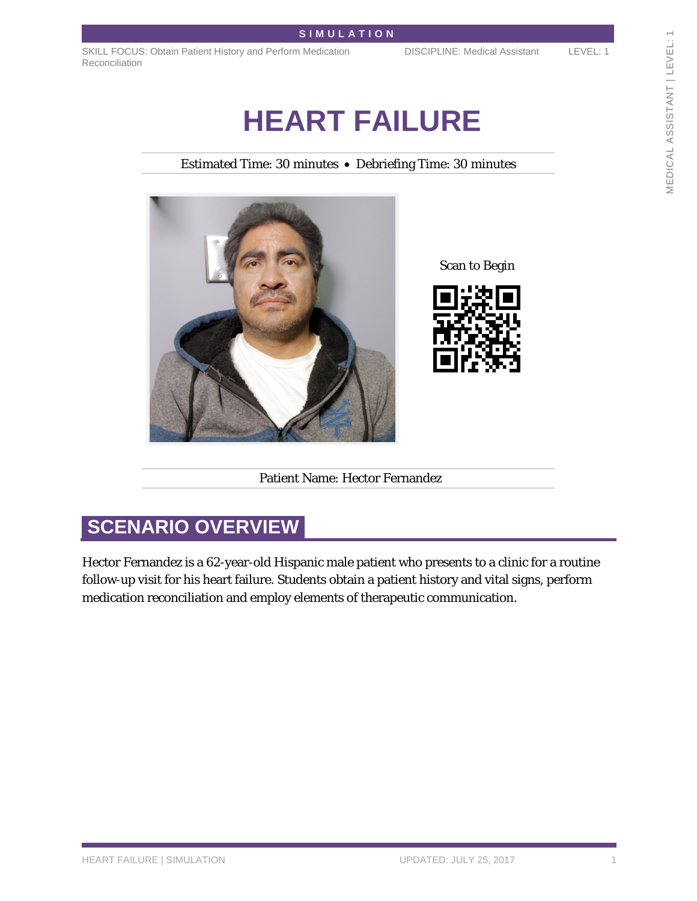SKILL FOCUS: Obtain Patient History and Perform Medication Reconciliation

DISCIPLINE: Medical Assistant LEVEL: 1

# **HEART FAILURE**

Estimated Time: 30 minutes • Debriefing Time: 30 minutes



Scan to Begin



Patient Name: Hector Fernandez

# **SCENARIO OVERVIEW**

Hector Fernandez is a 62-year-old Hispanic male patient who presents to a clinic for a routine follow-up visit for his heart failure. Students obtain a patient history and vital signs, perform medication reconciliation and employ elements of therapeutic communication.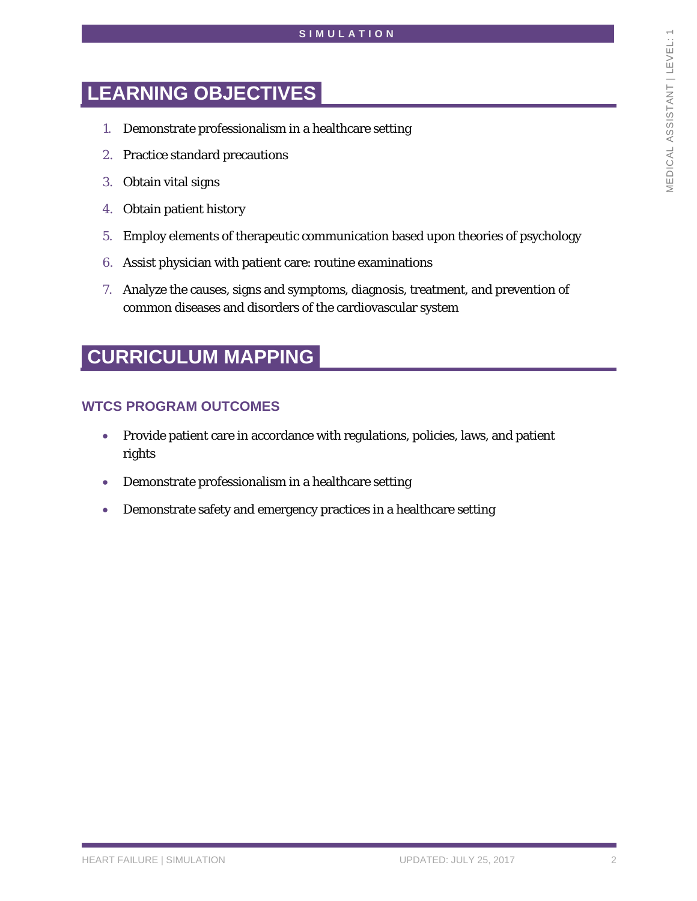## **LEARNING OBJECTIVES**

- 1. Demonstrate professionalism in a healthcare setting
- 2. Practice standard precautions
- 3. Obtain vital signs
- 4. Obtain patient history
- 5. Employ elements of therapeutic communication based upon theories of psychology
- 6. Assist physician with patient care: routine examinations
- 7. Analyze the causes, signs and symptoms, diagnosis, treatment, and prevention of common diseases and disorders of the cardiovascular system

## **CURRICULUM MAPPING**

#### **WTCS PROGRAM OUTCOMES**

- Provide patient care in accordance with regulations, policies, laws, and patient rights
- Demonstrate professionalism in a healthcare setting
- Demonstrate safety and emergency practices in a healthcare setting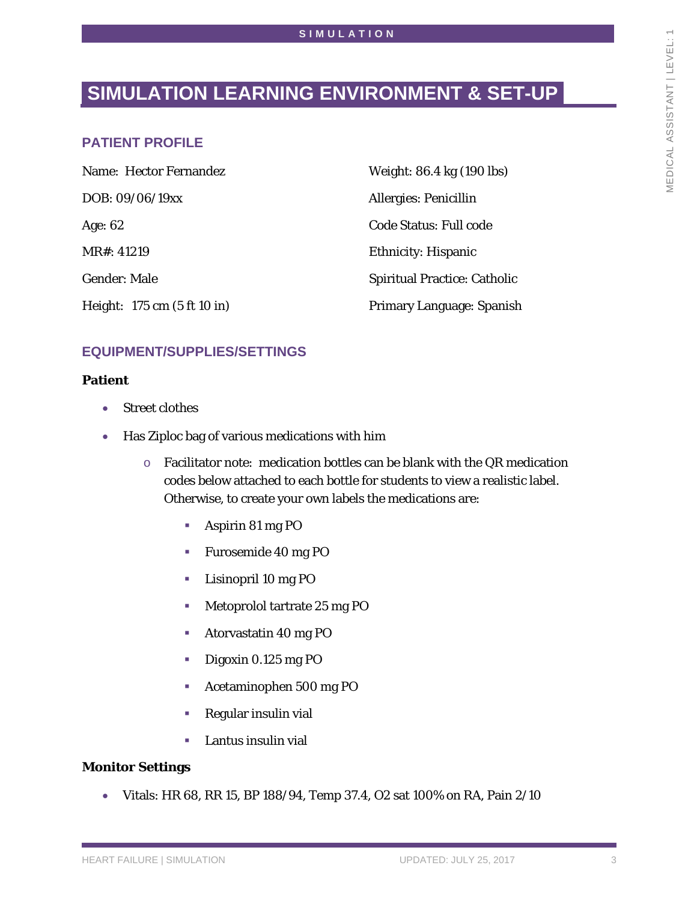# **SIMULATION LEARNING ENVIRONMENT & SET-UP**

### **PATIENT PROFILE**

| Name: Hector Fernandez      | Weight: 86.4 kg (190 lbs)           |
|-----------------------------|-------------------------------------|
| DOB: 09/06/19xx             | <b>Allergies: Penicillin</b>        |
| Age: $62$                   | <b>Code Status: Full code</b>       |
| MR#: 41219                  | <b>Ethnicity: Hispanic</b>          |
| <b>Gender: Male</b>         | <b>Spiritual Practice: Catholic</b> |
| Height: 175 cm (5 ft 10 in) | Primary Language: Spanish           |

### **EQUIPMENT/SUPPLIES/SETTINGS**

#### **Patient**

- Street clothes
- Has Ziploc bag of various medications with him
	- o Facilitator note: medication bottles can be blank with the QR medication codes below attached to each bottle for students to view a realistic label. Otherwise, to create your own labels the medications are:
		- **Aspirin 81 mg PO**
		- Furosemide 40 mg PO
		- **Lisinopril 10 mg PO**
		- **Metoprolol tartrate 25 mg PO**
		- **Atorvastatin 40 mg PO**
		- Digoxin 0.125 mg PO
		- Acetaminophen 500 mg PO
		- Regular insulin vial
		- Lantus insulin vial

#### **Monitor Settings**

• Vitals: HR 68, RR 15, BP 188/94, Temp 37.4, O2 sat 100% on RA, Pain 2/10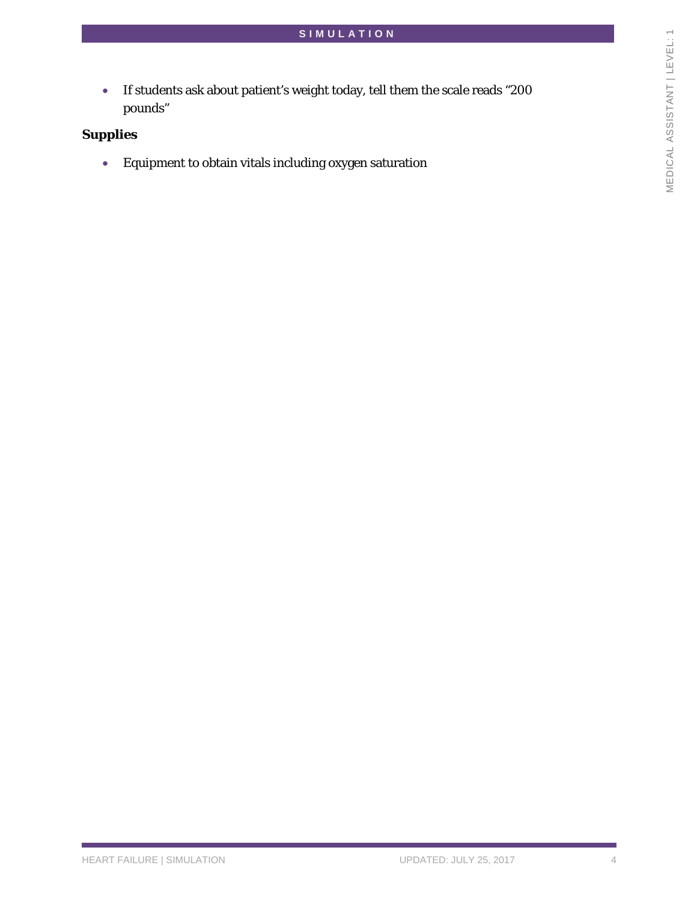• If students ask about patient's weight today, tell them the scale reads "200 pounds"

### **Supplies**

• Equipment to obtain vitals including oxygen saturation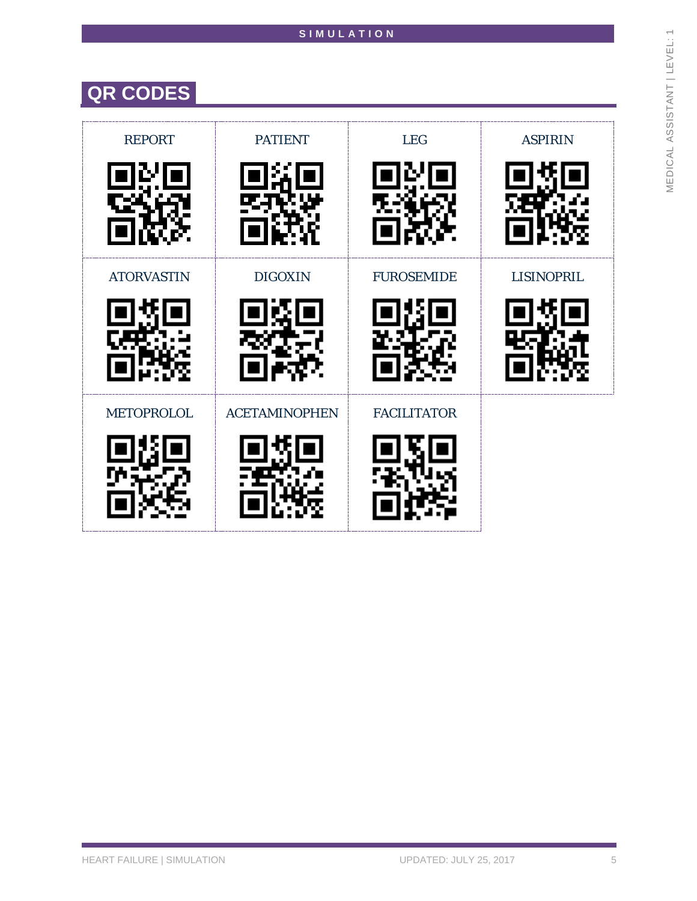# **QR CODES**

| <b>REPORT</b>          | <b>PATIENT</b>       | <b>LEG</b>         | <b>ASPIRIN</b>    |
|------------------------|----------------------|--------------------|-------------------|
| <b>ATORVASTIN</b>      | <b>DIGOXIN</b>       | <b>FUROSEMIDE</b>  | <b>LISINOPRIL</b> |
| <b>METOPROLOL</b><br>N | <b>ACETAMINOPHEN</b> | <b>FACILITATOR</b> |                   |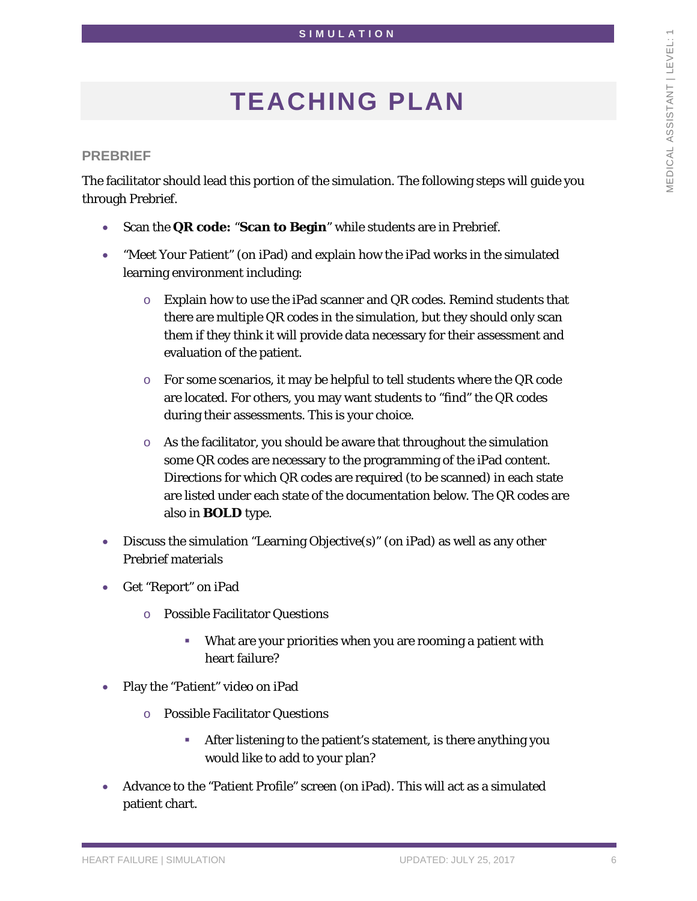# **TEACHING PLAN**

#### **PREBRIEF**

The facilitator should lead this portion of the simulation. The following steps will guide you through Prebrief.

- Scan the **QR code:** "**Scan to Begin**" while students are in Prebrief.
- "Meet Your Patient" (on iPad) and explain how the iPad works in the simulated learning environment including:
	- $\circ$  Explain how to use the iPad scanner and QR codes. Remind students that there are multiple QR codes in the simulation, but they should only scan them if they think it will provide data necessary for their assessment and evaluation of the patient.
	- $\circ$  For some scenarios, it may be helpful to tell students where the QR code are located. For others, you may want students to "find" the QR codes during their assessments. This is your choice.
	- o As the facilitator, you should be aware that throughout the simulation some QR codes are necessary to the programming of the iPad content. Directions for which QR codes are required (to be scanned) in each state are listed under each state of the documentation below. The QR codes are also in **BOLD** type.
- Discuss the simulation "Learning Objective(s)" (on iPad) as well as any other Prebrief materials
- Get "Report" on iPad
	- o Possible Facilitator Questions
		- What are your priorities when you are rooming a patient with heart failure?
- Play the "Patient" video on iPad
	- o Possible Facilitator Questions
		- After listening to the patient's statement, is there anything you would like to add to your plan?
- Advance to the "Patient Profile" screen (on iPad). This will act as a simulated patient chart.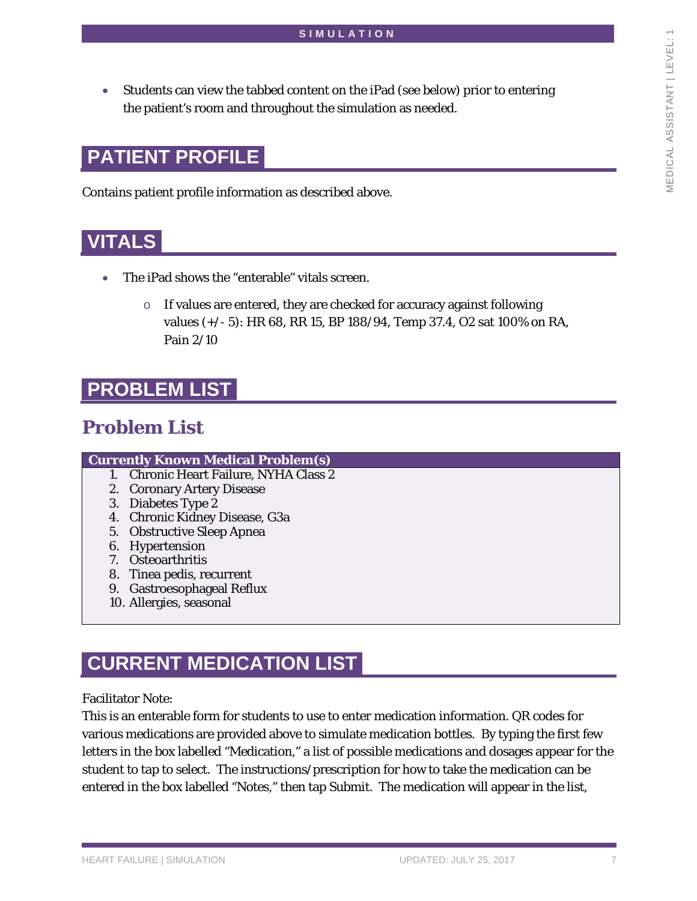• Students can view the tabbed content on the iPad (see below) prior to entering the patient's room and throughout the simulation as needed.

# **PATIENT PROFILE**

Contains patient profile information as described above.

### **VITALS**

- The iPad shows the "enterable" vitals screen.
	- o If values are entered, they are checked for accuracy against following values (+/- 5): HR 68, RR 15, BP 188/94, Temp 37.4, O2 sat 100% on RA, Pain 2/10

### **PROBLEM LIST**

### **Problem List**

#### **Currently Known Medical Problem(s)**

- 1. Chronic Heart Failure, NYHA Class 2
- 2. Coronary Artery Disease
- 3. Diabetes Type 2
- 4. Chronic Kidney Disease, G3a
- 5. Obstructive Sleep Apnea
- 6. Hypertension
- 7. Osteoarthritis
- 8. Tinea pedis, recurrent
- 9. Gastroesophageal Reflux
- 10. Allergies, seasonal

# **CURRENT MEDICATION LIST**

Facilitator Note:

This is an enterable form for students to use to enter medication information. QR codes for various medications are provided above to simulate medication bottles. By typing the first few letters in the box labelled "Medication," a list of possible medications and dosages appear for the student to tap to select. The instructions/prescription for how to take the medication can be entered in the box labelled "Notes," then tap Submit. The medication will appear in the list,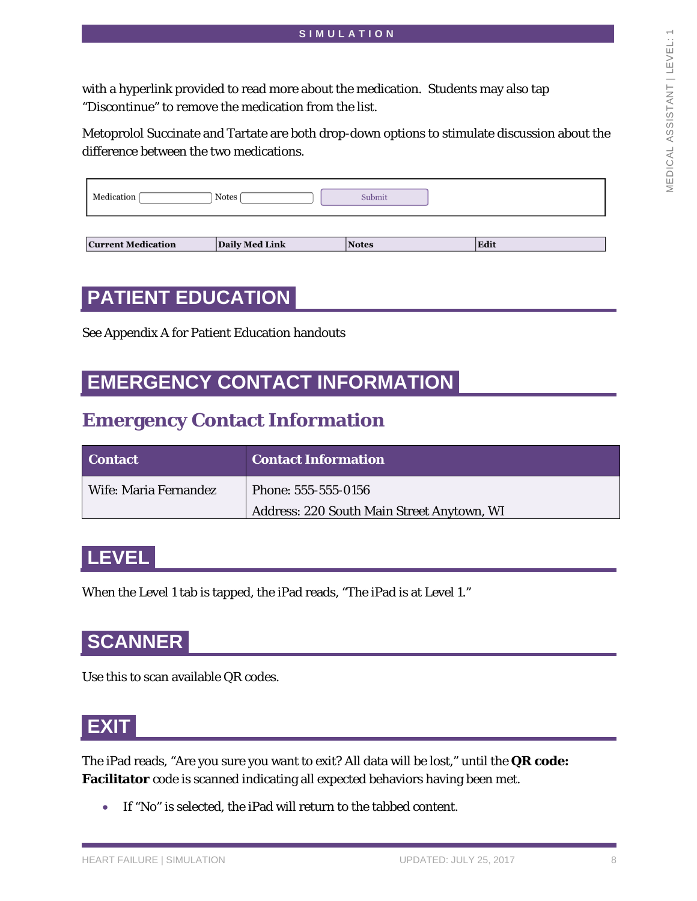with a hyperlink provided to read more about the medication. Students may also tap "Discontinue" to remove the medication from the list.

Metoprolol Succinate and Tartate are both drop-down options to stimulate discussion about the difference between the two medications.

| Medication<br>Notes | Submit |
|---------------------|--------|
|                     |        |

Edit

#### **Current Medication**

Notes

## **PATIENT EDUCATION**

See Appendix A for Patient Education handouts

### **EMERGENCY CONTACT INFORMATION**

Daily Med Link

### **Emergency Contact Information**

| Contact               | <b>Contact Information</b>                 |
|-----------------------|--------------------------------------------|
| Wife: Maria Fernandez | Phone: 555-555-0156                        |
|                       | Address: 220 South Main Street Anytown, WI |

### **LEVEL**

When the Level 1 tab is tapped, the iPad reads, "The iPad is at Level 1."

### **SCANNER**

Use this to scan available QR codes.

### **EXIT**

The iPad reads, "Are you sure you want to exit? All data will be lost," until the **QR code: Facilitator** code is scanned indicating all expected behaviors having been met.

• If "No" is selected, the iPad will return to the tabbed content.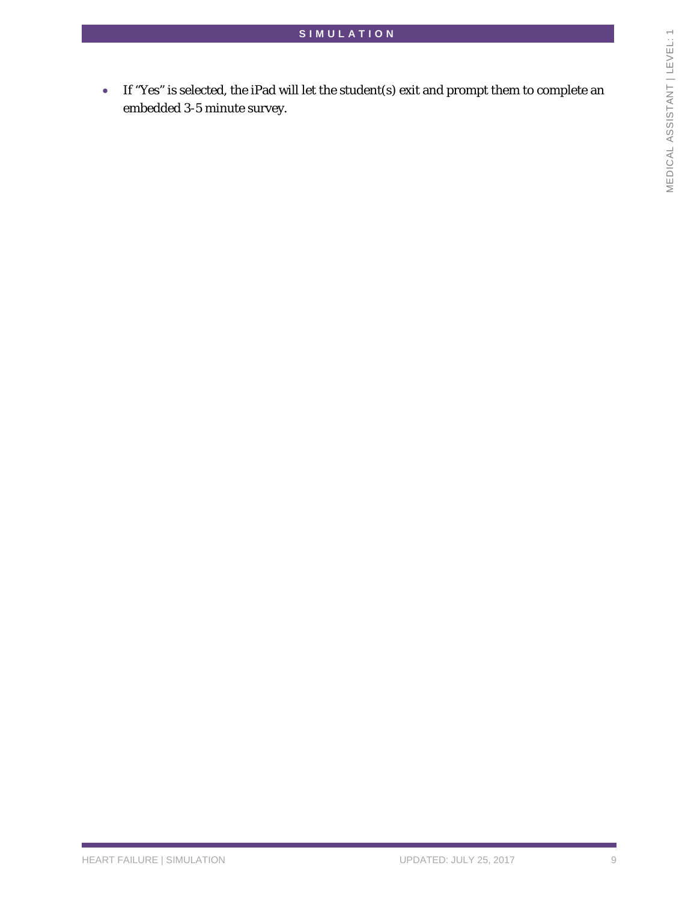• If "Yes" is selected, the iPad will let the student(s) exit and prompt them to complete an embedded 3-5 minute survey.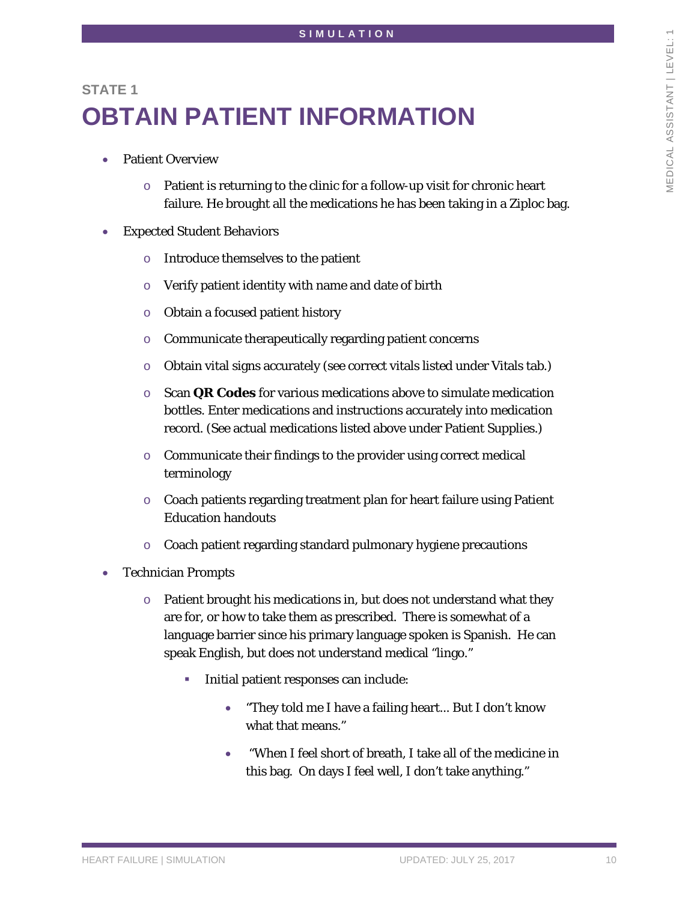# **STATE 1 OBTAIN PATIENT INFORMATION**

- Patient Overview
	- o Patient is returning to the clinic for a follow-up visit for chronic heart failure. He brought all the medications he has been taking in a Ziploc bag.
- Expected Student Behaviors
	- o Introduce themselves to the patient
	- o Verify patient identity with name and date of birth
	- o Obtain a focused patient history
	- o Communicate therapeutically regarding patient concerns
	- o Obtain vital signs accurately (see correct vitals listed under Vitals tab.)
	- o Scan **QR Codes** for various medications above to simulate medication bottles. Enter medications and instructions accurately into medication record. (See actual medications listed above under Patient Supplies.)
	- o Communicate their findings to the provider using correct medical terminology
	- o Coach patients regarding treatment plan for heart failure using Patient Education handouts
	- o Coach patient regarding standard pulmonary hygiene precautions
- Technician Prompts
	- o Patient brought his medications in, but does not understand what they are for, or how to take them as prescribed. There is somewhat of a language barrier since his primary language spoken is Spanish. He can speak English, but does not understand medical "lingo."
		- Initial patient responses can include:
			- "They told me I have a failing heart... But I don't know what that means."
			- "When I feel short of breath, I take all of the medicine in this bag. On days I feel well, I don't take anything."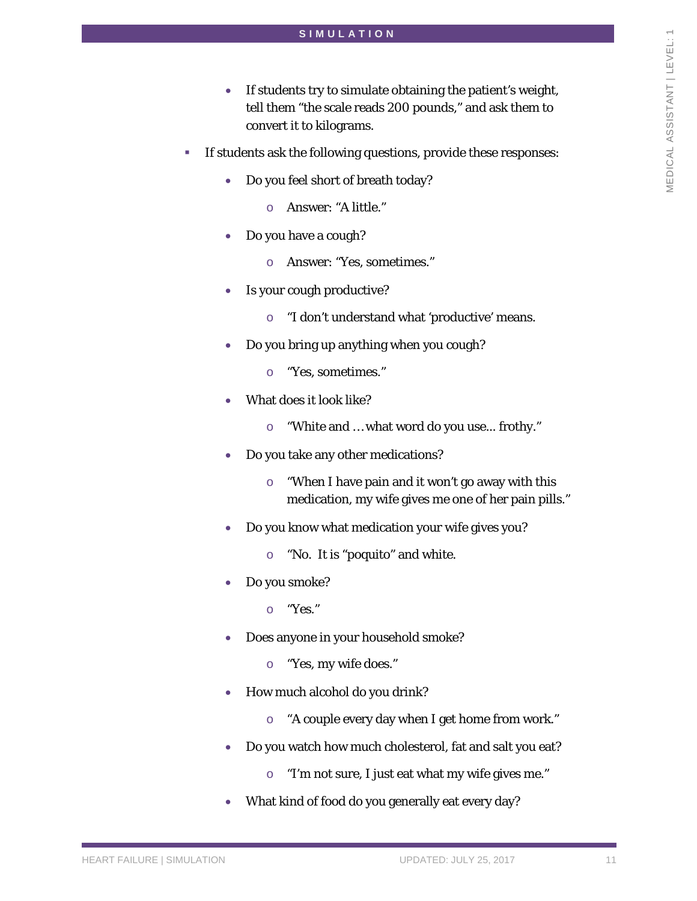- If students try to simulate obtaining the patient's weight, tell them "the scale reads 200 pounds," and ask them to convert it to kilograms.
- If students ask the following questions, provide these responses:
	- Do you feel short of breath today?
		- o Answer: "A little."
	- Do you have a cough?
		- o Answer: "Yes, sometimes."
	- Is your cough productive?
		- o "I don't understand what 'productive' means.
	- Do you bring up anything when you cough?
		- o "Yes, sometimes."
	- What does it look like?
		- o "White and … what word do you use... frothy."
	- Do you take any other medications?
		- o "When I have pain and it won't go away with this medication, my wife gives me one of her pain pills."
	- Do you know what medication your wife gives you?
		- o "No. It is "poquito" and white.
	- Do you smoke?
		- o "Yes."
	- Does anyone in your household smoke?
		- o "Yes, my wife does."
	- How much alcohol do you drink?
		- o "A couple every day when I get home from work."
	- Do you watch how much cholesterol, fat and salt you eat?
		- o "I'm not sure, I just eat what my wife gives me."
	- What kind of food do you generally eat every day?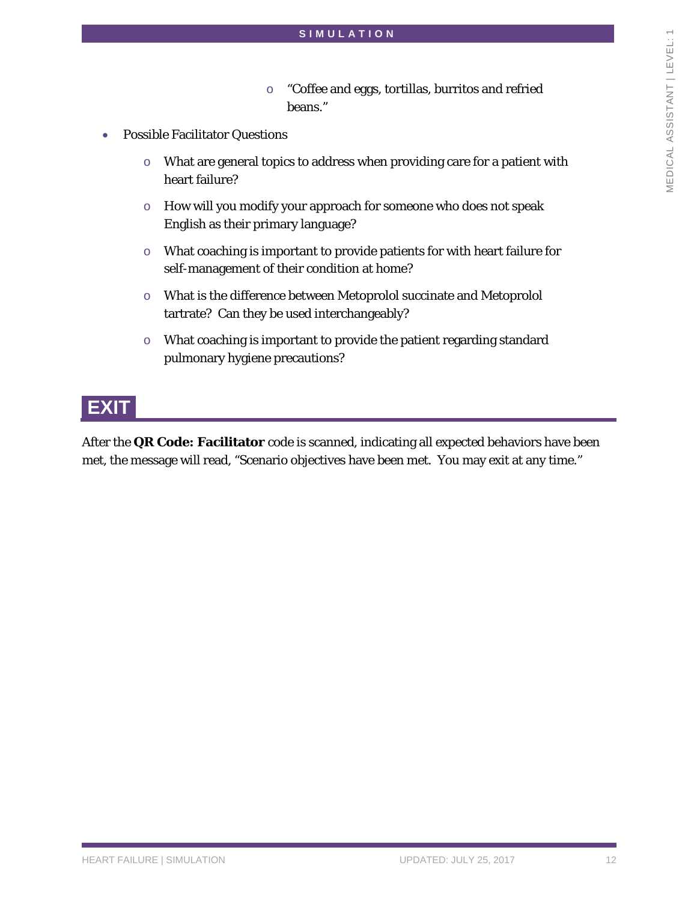- o "Coffee and eggs, tortillas, burritos and refried beans."
- Possible Facilitator Questions
	- o What are general topics to address when providing care for a patient with heart failure?
	- o How will you modify your approach for someone who does not speak English as their primary language?
	- o What coaching is important to provide patients for with heart failure for self-management of their condition at home?
	- o What is the difference between Metoprolol succinate and Metoprolol tartrate? Can they be used interchangeably?
	- o What coaching is important to provide the patient regarding standard pulmonary hygiene precautions?

# **EXIT**

After the **QR Code: Facilitator** code is scanned, indicating all expected behaviors have been met, the message will read, "Scenario objectives have been met. You may exit at any time."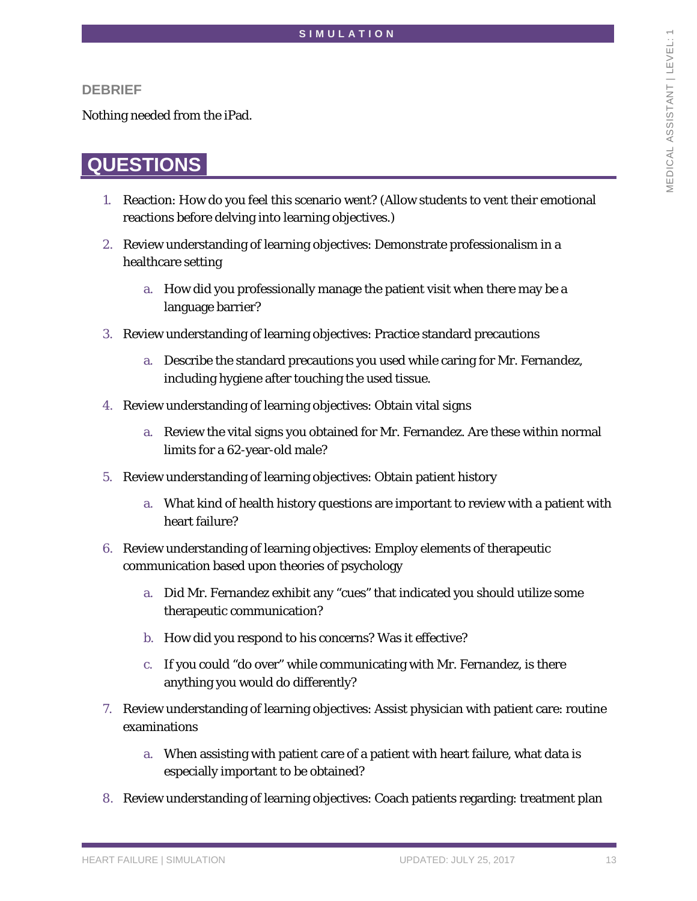#### **DEBRIEF**

Nothing needed from the iPad.

### **QUESTIONS**

- 1. Reaction: How do you feel this scenario went? (Allow students to vent their emotional reactions before delving into learning objectives.)
- 2. Review understanding of learning objectives: Demonstrate professionalism in a healthcare setting
	- a. How did you professionally manage the patient visit when there may be a language barrier?
- 3. Review understanding of learning objectives: Practice standard precautions
	- a. Describe the standard precautions you used while caring for Mr. Fernandez, including hygiene after touching the used tissue.
- 4. Review understanding of learning objectives: Obtain vital signs
	- a. Review the vital signs you obtained for Mr. Fernandez. Are these within normal limits for a 62-year-old male?
- 5. Review understanding of learning objectives: Obtain patient history
	- a. What kind of health history questions are important to review with a patient with heart failure?
- 6. Review understanding of learning objectives: Employ elements of therapeutic communication based upon theories of psychology
	- a. Did Mr. Fernandez exhibit any "cues" that indicated you should utilize some therapeutic communication?
	- b. How did you respond to his concerns? Was it effective?
	- c. If you could "do over" while communicating with Mr. Fernandez, is there anything you would do differently?
- 7. Review understanding of learning objectives: Assist physician with patient care: routine examinations
	- a. When assisting with patient care of a patient with heart failure, what data is especially important to be obtained?
- 8. Review understanding of learning objectives: Coach patients regarding: treatment plan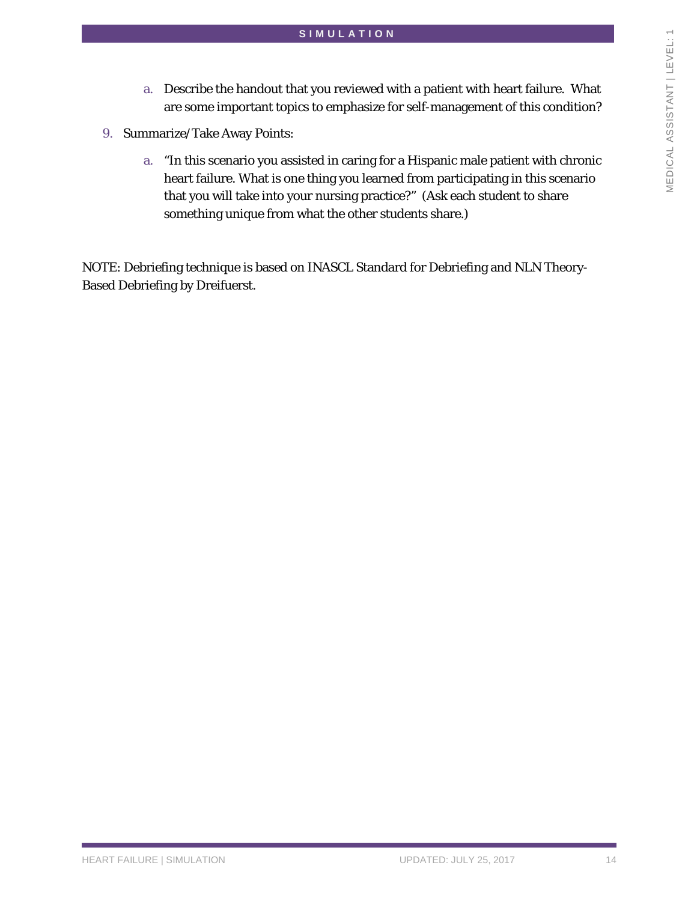- a. Describe the handout that you reviewed with a patient with heart failure. What are some important topics to emphasize for self-management of this condition?
- 9. Summarize/Take Away Points:
	- a. "In this scenario you assisted in caring for a Hispanic male patient with chronic heart failure. What is one thing you learned from participating in this scenario that you will take into your nursing practice?" (Ask each student to share something unique from what the other students share.)

NOTE: Debriefing technique is based on INASCL Standard for Debriefing and NLN Theory-Based Debriefing by Dreifuerst.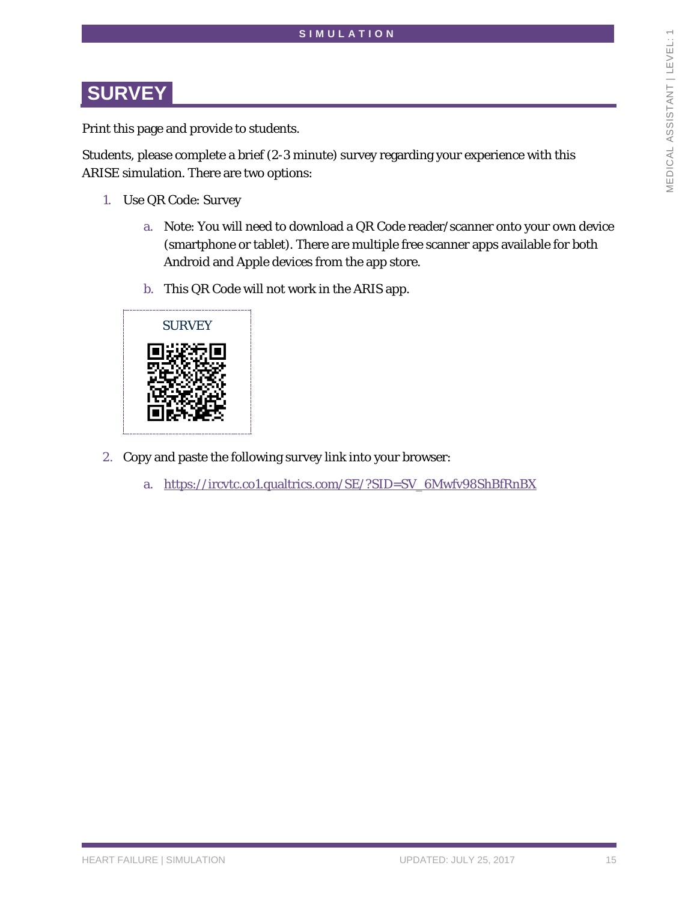## **SURVEY**

Print this page and provide to students.

Students, please complete a brief (2-3 minute) survey regarding your experience with this ARISE simulation. There are two options:

- 1. Use QR Code: Survey
	- a. Note: You will need to download a QR Code reader/scanner onto your own device (smartphone or tablet). There are multiple free scanner apps available for both Android and Apple devices from the app store.
	- b. This QR Code will not work in the ARIS app.



- 2. Copy and paste the following survey link into your browser:
	- a. [https://ircvtc.co1.qualtrics.com/SE/?SID=SV\\_6Mwfv98ShBfRnBX](https://ircvtc.co1.qualtrics.com/SE/?SID=SV_6Mwfv98ShBfRnBX)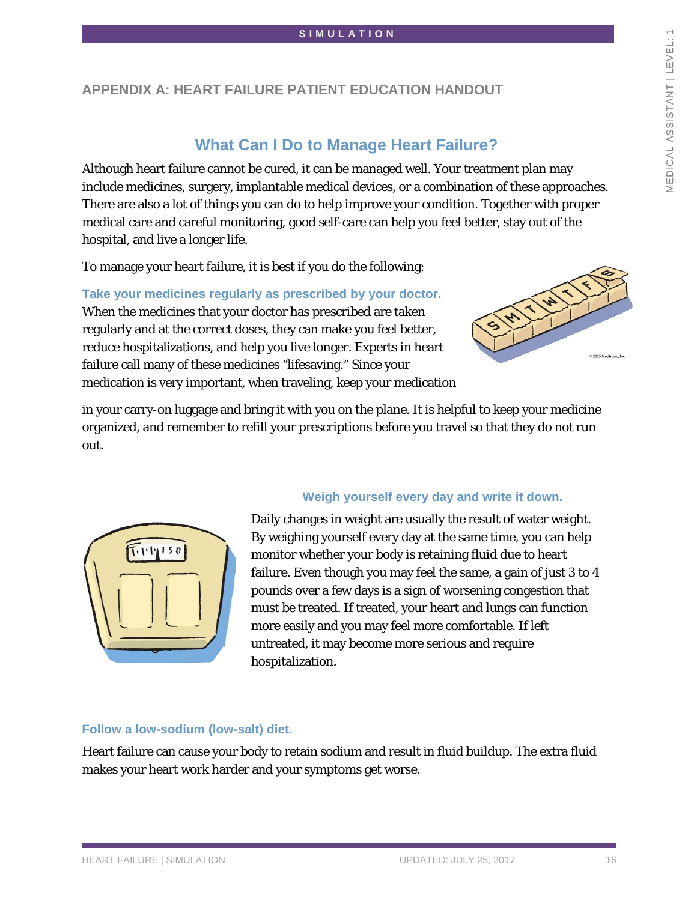### **APPENDIX A: HEART FAILURE PATIENT EDUCATION HANDOUT**

### **What Can I Do to Manage Heart Failure?**

Although heart failure cannot be cured, it can be managed well. Your treatment plan may include medicines, surgery, implantable medical devices, or a combination of these approaches. There are also a lot of things you can do to help improve your condition. Together with proper medical care and careful monitoring, good self-care can help you feel better, stay out of the hospital, and live a longer life.

To manage your heart failure, it is best if you do the following:

**Take your medicines regularly as prescribed by your doctor.**  When the medicines that your doctor has prescribed are taken regularly and at the correct doses, they can make you feel better, reduce hospitalizations, and help you live longer. Experts in heart failure call many of these medicines "lifesaving." Since your medication is very important, when traveling, keep your medication



in your carry-on luggage and bring it with you on the plane. It is helpful to keep your medicine organized, and remember to refill your prescriptions before you travel so that they do not run out.



#### **Weigh yourself every day and write it down.**

Daily changes in weight are usually the result of water weight. By weighing yourself every day at the same time, you can help monitor whether your body is retaining fluid due to heart failure. Even though you may feel the same, a gain of just 3 to 4 pounds over a few days is a sign of worsening congestion that must be treated. If treated, your heart and lungs can function more easily and you may feel more comfortable. If left untreated, it may become more serious and require hospitalization.

#### **Follow a low-sodium (low-salt) diet.**

Heart failure can cause your body to retain sodium and result in fluid buildup. The extra fluid makes your heart work harder and your symptoms get worse.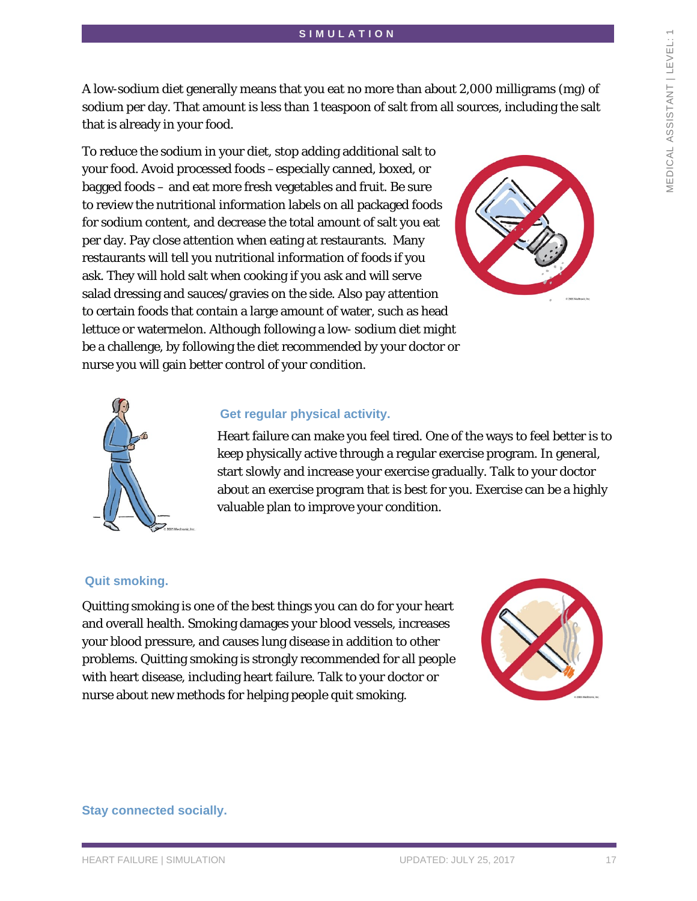A low-sodium diet generally means that you eat no more than about 2,000 milligrams (mg) of sodium per day. That amount is less than 1 teaspoon of salt from all sources, including the salt that is already in your food.

To reduce the sodium in your diet, stop adding additional salt to your food. Avoid processed foods –especially canned, boxed, or bagged foods – and eat more fresh vegetables and fruit. Be sure to review the nutritional information labels on all packaged foods for sodium content, and decrease the total amount of salt you eat per day. Pay close attention when eating at restaurants. Many restaurants will tell you nutritional information of foods if you ask. They will hold salt when cooking if you ask and will serve salad dressing and sauces/gravies on the side. Also pay attention to certain foods that contain a large amount of water, such as head lettuce or watermelon. Although following a low- sodium diet might be a challenge, by following the diet recommended by your doctor or nurse you will gain better control of your condition.





#### **Get regular physical activity.**

Heart failure can make you feel tired. One of the ways to feel better is to keep physically active through a regular exercise program. In general, start slowly and increase your exercise gradually. Talk to your doctor about an exercise program that is best for you. Exercise can be a highly valuable plan to improve your condition.

#### **Quit smoking.**

Quitting smoking is one of the best things you can do for your heart and overall health. Smoking damages your blood vessels, increases your blood pressure, and causes lung disease in addition to other problems. Quitting smoking is strongly recommended for all people with heart disease, including heart failure. Talk to your doctor or nurse about new methods for helping people quit smoking.



**Stay connected socially.**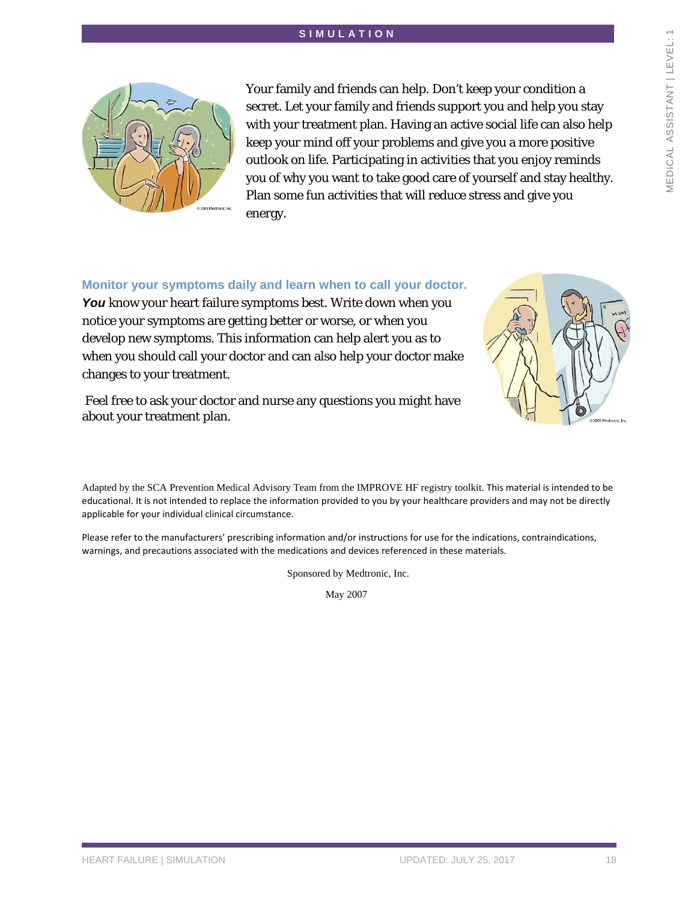

Your family and friends can help. Don't keep your condition a secret. Let your family and friends support you and help you stay with your treatment plan. Having an active social life can also help keep your mind off your problems and give you a more positive outlook on life. Participating in activities that you enjoy reminds you of why you want to take good care of yourself and stay healthy. Plan some fun activities that will reduce stress and give you energy.

#### **Monitor your symptoms daily and learn when to call your doctor.**

You know your heart failure symptoms best. Write down when you notice your symptoms are getting better or worse, or when you develop new symptoms. This information can help alert you as to when you should call your doctor and can also help your doctor make changes to your treatment.

Feel free to ask your doctor and nurse any questions you might have about your treatment plan.

Adapted by the SCA Prevention Medical Advisory Team from the IMPROVE HF registry toolkit. This material is intended to be educational. It is not intended to replace the information provided to you by your healthcare providers and may not be directly applicable for your individual clinical circumstance.

Please refer to the manufacturers' prescribing information and/or instructions for use for the indications, contraindications, warnings, and precautions associated with the medications and devices referenced in these materials.

Sponsored by Medtronic, Inc.

May 2007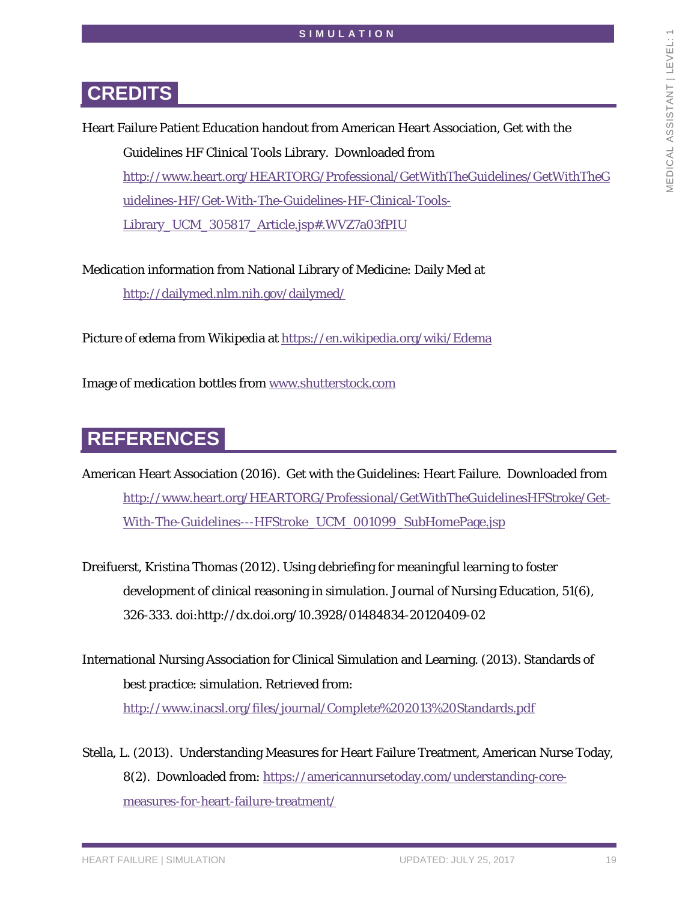## **CREDITS**

Heart Failure Patient Education handout from American Heart Association, Get with the Guidelines HF Clinical Tools Library. Downloaded from [http://www.heart.org/HEARTORG/Professional/GetWithTheGuidelines/GetWithTheG](http://www.heart.org/HEARTORG/Professional/GetWithTheGuidelines/GetWithTheGuidelines-HF/Get-With-The-Guidelines-HF-Clinical-Tools-Library_UCM_305817_Article.jsp#.WVZ7a03fPIU) [uidelines-HF/Get-With-The-Guidelines-HF-Clinical-Tools-](http://www.heart.org/HEARTORG/Professional/GetWithTheGuidelines/GetWithTheGuidelines-HF/Get-With-The-Guidelines-HF-Clinical-Tools-Library_UCM_305817_Article.jsp#.WVZ7a03fPIU)Library UCM 305817 Article.jsp#.WVZ7a03fPIU

Medication information from National Library of Medicine: Daily Med at <http://dailymed.nlm.nih.gov/dailymed/>

Picture of edema from Wikipedia at<https://en.wikipedia.org/wiki/Edema>

Image of medication bottles from [www.shutterstock.com](http://www.shutterstock.com/)

## **REFERENCES**

American Heart Association (2016). Get with the Guidelines: Heart Failure. Downloaded from [http://www.heart.org/HEARTORG/Professional/GetWithTheGuidelinesHFStroke/Get-](http://www.heart.org/HEARTORG/Professional/GetWithTheGuidelinesHFStroke/Get-With-The-Guidelines---HFStroke_UCM_001099_SubHomePage.jsp)[With-The-Guidelines---HFStroke\\_UCM\\_001099\\_SubHomePage.jsp](http://www.heart.org/HEARTORG/Professional/GetWithTheGuidelinesHFStroke/Get-With-The-Guidelines---HFStroke_UCM_001099_SubHomePage.jsp)

- Dreifuerst, Kristina Thomas (2012). Using debriefing for meaningful learning to foster development of clinical reasoning in simulation. Journal of Nursing Education, 51(6), 326-333. doi:http://dx.doi.org/10.3928/01484834-20120409-02
- International Nursing Association for Clinical Simulation and Learning. (2013). Standards of best practice: simulation. Retrieved from: <http://www.inacsl.org/files/journal/Complete%202013%20Standards.pdf>
- Stella, L. (2013). Understanding Measures for Heart Failure Treatment, American Nurse Today, 8(2). Downloaded from: [https://americannursetoday.com/understanding-core](https://americannursetoday.com/understanding-core-measures-for-heart-failure-treatment/)[measures-for-heart-failure-treatment/](https://americannursetoday.com/understanding-core-measures-for-heart-failure-treatment/)